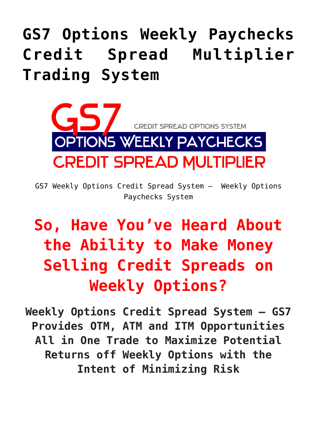# **[GS7 Options Weekly Paychecks](https://optionsweeklypaychecks.com/gs7-options-weekly-paychecks-credit-spread-multiplier-trading-system/) [Credit Spread Multiplier](https://optionsweeklypaychecks.com/gs7-options-weekly-paychecks-credit-spread-multiplier-trading-system/) [Trading System](https://optionsweeklypaychecks.com/gs7-options-weekly-paychecks-credit-spread-multiplier-trading-system/)**



GS7 Weekly Options Credit Spread System – Weekly Options Paychecks System

## **So, Have You've Heard About the Ability to Make Money Selling Credit Spreads on Weekly Options?**

**Weekly Options Credit Spread System – GS7 Provides OTM, ATM and ITM Opportunities All in One Trade to Maximize Potential Returns off Weekly Options with the Intent of Minimizing Risk**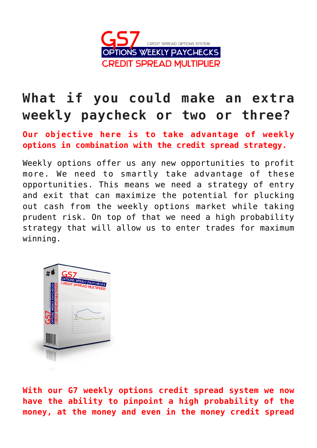

## **What if you could make an extra weekly paycheck or two or three?**

**Our objective here is to take advantage of weekly options in combination with the credit spread strategy.**

Weekly options offer us any new opportunities to profit more. We need to smartly take advantage of these opportunities. This means we need a strategy of entry and exit that can maximize the potential for plucking out cash from the weekly options market while taking prudent risk. On top of that we need a high probability strategy that will allow us to enter trades for maximum winning.



**With our G7 weekly options credit spread system we now have the ability to pinpoint a high probability of the money, at the money and even in the money credit spread**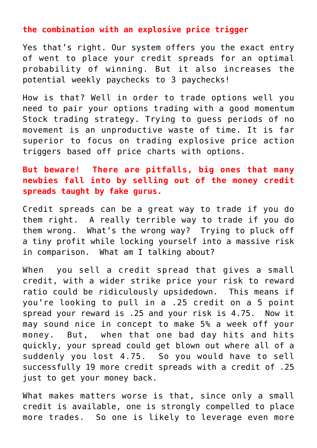#### **the combination with an explosive price trigger**

Yes that's right. Our system offers you the exact entry of went to place your credit spreads for an optimal probability of winning. But it also increases the potential weekly paychecks to 3 paychecks!

How is that? Well in order to trade options well you need to pair your options trading with a good momentum Stock trading strategy. Trying to guess periods of no movement is an unproductive waste of time. It is far superior to focus on trading explosive price action triggers based off price charts with options.

#### **But beware! There are pitfalls, big ones that many newbies fall into by selling out of the money credit spreads taught by fake gurus.**

Credit spreads can be a great way to trade if you do them right. A really terrible way to trade if you do them wrong. What's the wrong way? Trying to pluck off a tiny profit while locking yourself into a massive risk in comparison. What am I talking about?

When you sell a credit spread that gives a small credit, with a wider strike price your risk to reward ratio could be ridiculously upsidedown. This means if you're looking to pull in a .25 credit on a 5 point spread your reward is .25 and your risk is 4.75. Now it may sound nice in concept to make 5% a week off your money. But, when that one bad day hits and hits quickly, your spread could get blown out where all of a suddenly you lost 4.75. So you would have to sell successfully 19 more credit spreads with a credit of .25 just to get your money back.

What makes matters worse is that, since only a small credit is available, one is strongly compelled to place more trades. So one is likely to leverage even more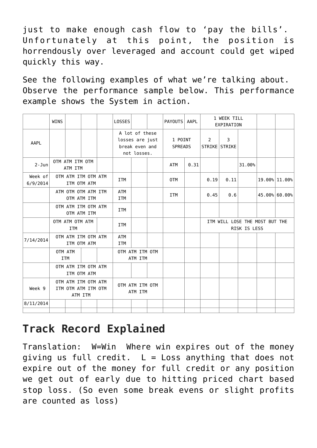just to make enough cash flow to 'pay the bills'. Unfortunately at this point, the position is horrendously over leveraged and account could get wiped quickly this way.

See the following examples of what we're talking about. Observe the performance sample below. This performance example shows the System in action.

|                     | <b>WINS</b>                                           |                                    |  |  | <b>LOSSES</b>              |                                                                    |  | PAYOUTS   AAPL            |      |                                                | 1 WEEK TILL<br>EXPIRATION |        |  |               |
|---------------------|-------------------------------------------------------|------------------------------------|--|--|----------------------------|--------------------------------------------------------------------|--|---------------------------|------|------------------------------------------------|---------------------------|--------|--|---------------|
| AAPL                |                                                       |                                    |  |  |                            | A lot of these<br>losses are just<br>break even and<br>not losses. |  | 1 POINT<br><b>SPREADS</b> |      | 2                                              | 3<br>STRIKE STRIKE        |        |  |               |
| $2 - Jun$           | OTM ATM ITM OTM<br>ATM ITM                            |                                    |  |  |                            |                                                                    |  | ATM                       | 0.31 |                                                |                           | 31.00% |  |               |
| Week of<br>6/9/2014 | OTM ATM ITM OTM ATM<br>ITM OTM ATM                    |                                    |  |  | <b>ITM</b>                 |                                                                    |  | 0TM                       |      | 0.19                                           | 0.11                      |        |  | 19.00% 11.00% |
|                     |                                                       | ATM OTM OTM ATM ITM<br>OTM ATM ITM |  |  | <b>ATM</b><br><b>ITM</b>   |                                                                    |  | <b>ITM</b>                |      | 0.45                                           | 0.6                       |        |  | 45.00% 60.00% |
|                     |                                                       | OTM ATM ITM OTM ATM<br>OTM ATM ITM |  |  | <b>ITM</b>                 |                                                                    |  |                           |      |                                                |                           |        |  |               |
|                     | OTM ATM OTM ATM<br><b>ITM</b>                         |                                    |  |  | <b>ITM</b>                 |                                                                    |  |                           |      | ITM WILL LOSE THE MOST BUT THE<br>RISK IS LESS |                           |        |  |               |
| 7/14/2014           |                                                       | OTM ATM ITM OTM ATM<br>ITM OTM ATM |  |  | <b>ATM</b><br><b>ITM</b>   |                                                                    |  |                           |      |                                                |                           |        |  |               |
|                     | OTM ATM<br><b>ITM</b>                                 |                                    |  |  | OTM ATM ITM OTM<br>ATM ITM |                                                                    |  |                           |      |                                                |                           |        |  |               |
|                     |                                                       | OTM ATM ITM OTM ATM<br>ITM OTM ATM |  |  |                            |                                                                    |  |                           |      |                                                |                           |        |  |               |
| Week 9              | OTM ATM ITM OTM ATM<br>ITM OTM ATM ITM OTM<br>ATM ITM |                                    |  |  | OTM ATM ITM OTM<br>ATM ITM |                                                                    |  |                           |      |                                                |                           |        |  |               |
| 8/11/2014           |                                                       |                                    |  |  |                            |                                                                    |  |                           |      |                                                |                           |        |  |               |

## **Track Record Explained**

Translation: W=Win Where win expires out of the money giving us full credit.  $L = Loss$  anything that does not expire out of the money for full credit or any position we get out of early due to hitting priced chart based stop loss. (So even some break evens or slight profits are counted as loss)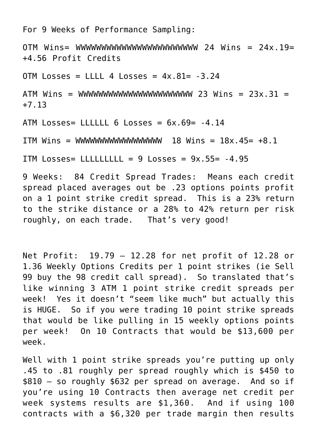For 9 Weeks of Performance Sampling:

OTM Wins= WWWWWWWWWWWWWWWWWWWWWWWW 24 Wins = 24x.19= +4.56 Profit Credits

OTM Losses = LLLL 4 Losses =  $4x.81 = -3.24$ 

ATM Wins = WWWWWWWWWWWWWWWWWWWWWWW 23 Wins = 23x.31 = +7.13

ATM Losses= LLLLLL  $6$  Losses =  $6x.69$  =  $-4.14$ 

ITM Wins = WWWWWWWWWWWWWWWWWW 18 Wins = 18x.45= +8.1

ITM Losses= LLLLLLLLL =  $9$  Losses =  $9x.55$ =  $-4.95$ 

9 Weeks: 84 Credit Spread Trades: Means each credit spread placed averages out be .23 options points profit on a 1 point strike credit spread. This is a 23% return to the strike distance or a 28% to 42% return per risk roughly, on each trade. That's very good!

Net Profit: 19.79 – 12.28 for net profit of 12.28 or 1.36 Weekly Options Credits per 1 point strikes (ie Sell 99 buy the 98 credit call spread). So translated that's like winning 3 ATM 1 point strike credit spreads per week! Yes it doesn't "seem like much" but actually this is HUGE. So if you were trading 10 point strike spreads that would be like pulling in 15 weekly options points per week! On 10 Contracts that would be \$13,600 per week.

Well with 1 point strike spreads you're putting up only .45 to .81 roughly per spread roughly which is \$450 to \$810 – so roughly \$632 per spread on average. And so if you're using 10 Contracts then average net credit per week systems results are \$1,360. And if using 100 contracts with a \$6,320 per trade margin then results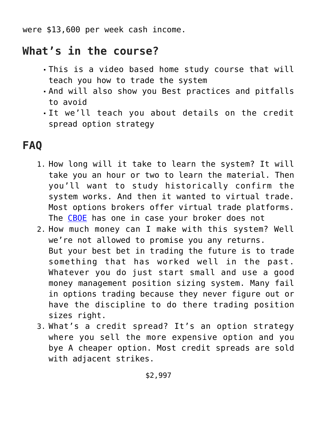were \$13,600 per week cash income.

### **What's in the course?**

- This is a video based home study course that will teach you how to trade the system
- And will also show you Best practices and pitfalls to avoid
- It we'll teach you about details on the credit spread option strategy

### **FAQ**

- 1. How long will it take to learn the system? It will take you an hour or two to learn the material. Then you'll want to study historically confirm the system works. And then it wanted to virtual trade. Most options brokers offer virtual trade platforms. The [CBOE](https://www.cboe.com/tradtool/virtualtrade.aspx) has one in case your broker does not
- 2. How much money can I make with this system? Well we're not allowed to promise you any returns. But your best bet in trading the future is to trade something that has worked well in the past. Whatever you do just start small and use a good money management position sizing system. Many fail in options trading because they never figure out or have the discipline to do there trading position sizes right.
- 3. What's a credit spread? It's an option strategy where you sell the more expensive option and you bye A cheaper option. Most credit spreads are sold with adjacent strikes.